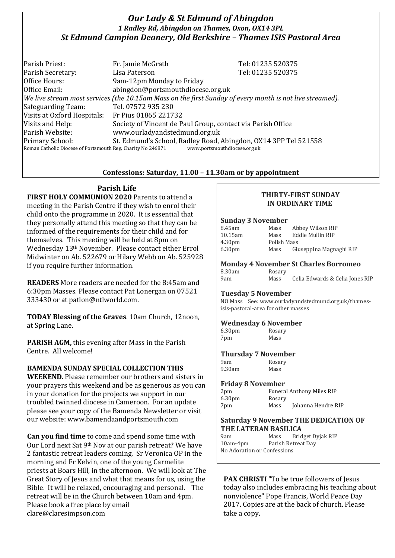## *Our Lady & St Edmund of Abingdon 1 Radley Rd, Abingdon on Thames, Oxon, OX14 3PL St Edmund Campion Deanery, Old Berkshire – Thames ISIS Pastoral Area*

| Parish Priest:                                                                                           | Fr. Jamie McGrath                                           | Tel: 01235 520375                                                                               |
|----------------------------------------------------------------------------------------------------------|-------------------------------------------------------------|-------------------------------------------------------------------------------------------------|
| Parish Secretary:                                                                                        | Lisa Paterson                                               | Tel: 01235 520375                                                                               |
| Office Hours:                                                                                            | 9am-12pm Monday to Friday                                   |                                                                                                 |
| Office Email:                                                                                            | abingdon@portsmouthdiocese.org.uk                           |                                                                                                 |
| We live stream most services (the 10.15am Mass on the first Sunday of every month is not live streamed). |                                                             |                                                                                                 |
| Safeguarding Team:                                                                                       | Tel. 07572 935 230                                          |                                                                                                 |
| Visits at Oxford Hospitals: Fr Pius 01865 221732                                                         |                                                             |                                                                                                 |
| Visits and Help:                                                                                         | Society of Vincent de Paul Group, contact via Parish Office |                                                                                                 |
| Parish Website:                                                                                          | www.ourladyandstedmund.org.uk                               |                                                                                                 |
| Primary School:<br>Roman Catholic Diocese of Portsmouth Reg. Charity No 246871                           |                                                             | St. Edmund's School, Radley Road, Abingdon, OX14 3PP Tel 521558<br>www.portsmouthdiocese.org.uk |

### **Confessions: Saturday, 11.00 – 11.30am or by appointment**

# **Parish Life**

**FIRST HOLY COMMUNION 2020** Parents to attend a meeting in the Parish Centre if they wish to enrol their child onto the programme in 2020. It is essential that they personally attend this meeting so that they can be informed of the requirements for their child and for themselves. This meeting will be held at 8pm on Wednesday 13th November. Please contact either Errol Midwinter on Ab. 522679 or Hilary Webb on Ab. 525928 if you require further information.

**READERS** More readers are needed for the 8:45am and 6:30pm Masses. Please contact Pat Lonergan on 07521 333430 or at patlon@ntlworld.com.

**TODAY Blessing of the Graves**. 10am Church, 12noon, at Spring Lane.

**PARISH AGM,** this evening after Mass in the Parish Centre. All welcome!

### **BAMENDA SUNDAY SPECIAL COLLECTION THIS**

**WEEKEND**. Please remember our brothers and sisters in your prayers this weekend and be as generous as you can in your donation for the projects we support in our troubled twinned diocese in Cameroon. For an update please see your copy of the Bamenda Newsletter or visit our website: www.bamendaandportsmouth.com

**Can you find time** to come and spend some time with Our Lord next Sat 9th Nov at our parish retreat? We have 2 fantastic retreat leaders coming. Sr Veronica OP in the morning and Fr Kelvin, one of the young Carmelite priests at Boars Hill, in the afternoon. We will look at The Great Story of Jesus and what that means for us, using the Bible. It will be relaxed, encouraging and personal. The retreat will be in the Church between 10am and 4pm. Please book a free place by email clare@claresimpson.com

### **THIRTY-FIRST SUNDAY IN ORDINARY TIME**

#### **Sunday 3 November**

| 8.45am             | Mass        | Abbey Wilson RIP        |
|--------------------|-------------|-------------------------|
| 10.15am            | Mass        | Eddie Mullin RIP        |
| 4.30 <sub>pm</sub> | Polish Mass |                         |
| 6.30 <sub>pm</sub> | Mass        | Giuseppina Magnaghi RIP |

## **Monday 4 November St Charles Borromeo**

| 8.30am | Rosary |                                 |
|--------|--------|---------------------------------|
| 9am    | Mass   | Celia Edwards & Celia Jones RIP |

#### **Tuesday 5 November**

NO Mass See: www.ourladyandstedmund.org.uk/thamesisis-pastoral-area for other masses

### **Wednesday 6 November**

| 6.30 <sub>pm</sub> | Rosary |
|--------------------|--------|
| 7pm                | Mass   |

### **Thursday 7 November**

9am Rosary 9.30am Mass

#### **Friday 8 November**

| 2 <sub>pm</sub>    |        | <b>Funeral Anthony Miles RIP</b> |
|--------------------|--------|----------------------------------|
| 6.30 <sub>pm</sub> | Rosary |                                  |
| 7pm                | Mass   | Johanna Hendre RIP               |

#### **Saturday 9 November THE DEDICATION OF THE LATERAN BASILICA**

| 9am                         | Mass | Bridget Dyjak RIP  |  |  |
|-----------------------------|------|--------------------|--|--|
| $10am-4pm$                  |      | Parish Retreat Day |  |  |
| No Adoration or Confessions |      |                    |  |  |

**PAX CHRISTI** "To be true followers of Jesus today also includes embracing his teaching about nonviolence" Pope Francis, World Peace Day 2017. Copies are at the back of church. Please take a copy.